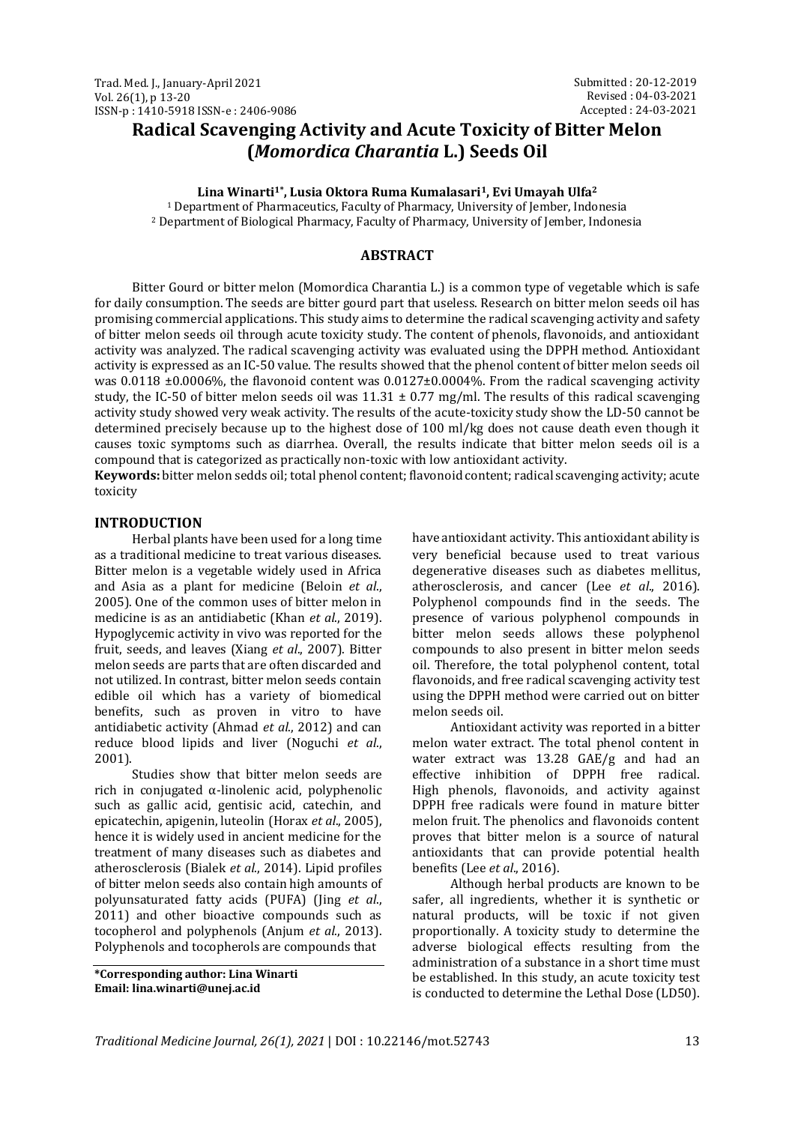# **Radical Scavenging Activity and Acute Toxicity of Bitter Melon (***Momordica Charantia* **L.) Seeds Oil**

**Lina Winarti1\* , Lusia Oktora Ruma Kumalasari1, Evi Umayah Ulfa<sup>2</sup>**

<sup>1</sup> Department of Pharmaceutics, Faculty of Pharmacy, University of Jember, Indonesia <sup>2</sup> Department of Biological Pharmacy, Faculty of Pharmacy, University of Jember, Indonesia

# **ABSTRACT**

Bitter Gourd or bitter melon (Momordica Charantia L.) is a common type of vegetable which is safe for daily consumption. The seeds are bitter gourd part that useless. Research on bitter melon seeds oil has promising commercial applications. This study aims to determine the radical scavenging activity and safety of bitter melon seeds oil through acute toxicity study. The content of phenols, flavonoids, and antioxidant activity was analyzed. The radical scavenging activity was evaluated using the DPPH method. Antioxidant activity is expressed as an IC-50 value. The results showed that the phenol content of bitter melon seeds oil was 0.0118  $\pm$ 0.0006%, the flavonoid content was 0.0127 $\pm$ 0.0004%. From the radical scavenging activity study, the IC-50 of bitter melon seeds oil was  $11.31 \pm 0.77$  mg/ml. The results of this radical scavenging activity study showed very weak activity. The results of the acute-toxicity study show the LD-50 cannot be determined precisely because up to the highest dose of 100 ml/kg does not cause death even though it causes toxic symptoms such as diarrhea. Overall, the results indicate that bitter melon seeds oil is a compound that is categorized as practically non-toxic with low antioxidant activity.

**Keywords:** bitter melon sedds oil; total phenol content; flavonoid content; radical scavenging activity; acute toxicity

# **INTRODUCTION**

Herbal plants have been used for a long time as a traditional medicine to treat various diseases. Bitter melon is a vegetable widely used in Africa and Asia as a plant for medicine (Beloin *et al*., 2005). One of the common uses of bitter melon in medicine is as an antidiabetic (Khan *et al*., 2019). Hypoglycemic activity in vivo was reported for the fruit, seeds, and leaves (Xiang *et al*., 2007). Bitter melon seeds are parts that are often discarded and not utilized. In contrast, bitter melon seeds contain edible oil which has a variety of biomedical benefits, such as proven in vitro to have antidiabetic activity (Ahmad *et al*., 2012) and can reduce blood lipids and liver (Noguchi *et al*., 2001).

Studies show that bitter melon seeds are rich in conjugated α-linolenic acid, polyphenolic such as gallic acid, gentisic acid, catechin, and epicatechin, apigenin, luteolin (Horax *et al*., 2005), hence it is widely used in ancient medicine for the treatment of many diseases such as diabetes and atherosclerosis (Bialek *et al*., 2014). Lipid profiles of bitter melon seeds also contain high amounts of polyunsaturated fatty acids (PUFA) (Jing *et al*., 2011) and other bioactive compounds such as tocopherol and polyphenols (Anjum *et al*., 2013). Polyphenols and tocopherols are compounds that

**\*Corresponding author: Lina Winarti Email: lina.winarti@unej.ac.id**

have antioxidant activity. This antioxidant ability is very beneficial because used to treat various degenerative diseases such as diabetes mellitus, atherosclerosis, and cancer (Lee *et al*., 2016). Polyphenol compounds find in the seeds. The presence of various polyphenol compounds in bitter melon seeds allows these polyphenol compounds to also present in bitter melon seeds oil. Therefore, the total polyphenol content, total flavonoids, and free radical scavenging activity test using the DPPH method were carried out on bitter melon seeds oil.

Antioxidant activity was reported in a bitter melon water extract. The total phenol content in water extract was 13.28 GAE/g and had an effective inhibition of DPPH free radical. High phenols, flavonoids, and activity against DPPH free radicals were found in mature bitter melon fruit. The phenolics and flavonoids content proves that bitter melon is a source of natural antioxidants that can provide potential health benefits (Lee *et al*., 2016).

Although herbal products are known to be safer, all ingredients, whether it is synthetic or natural products, will be toxic if not given proportionally. A toxicity study to determine the adverse biological effects resulting from the administration of a substance in a short time must be established. In this study, an acute toxicity test is conducted to determine the Lethal Dose (LD50).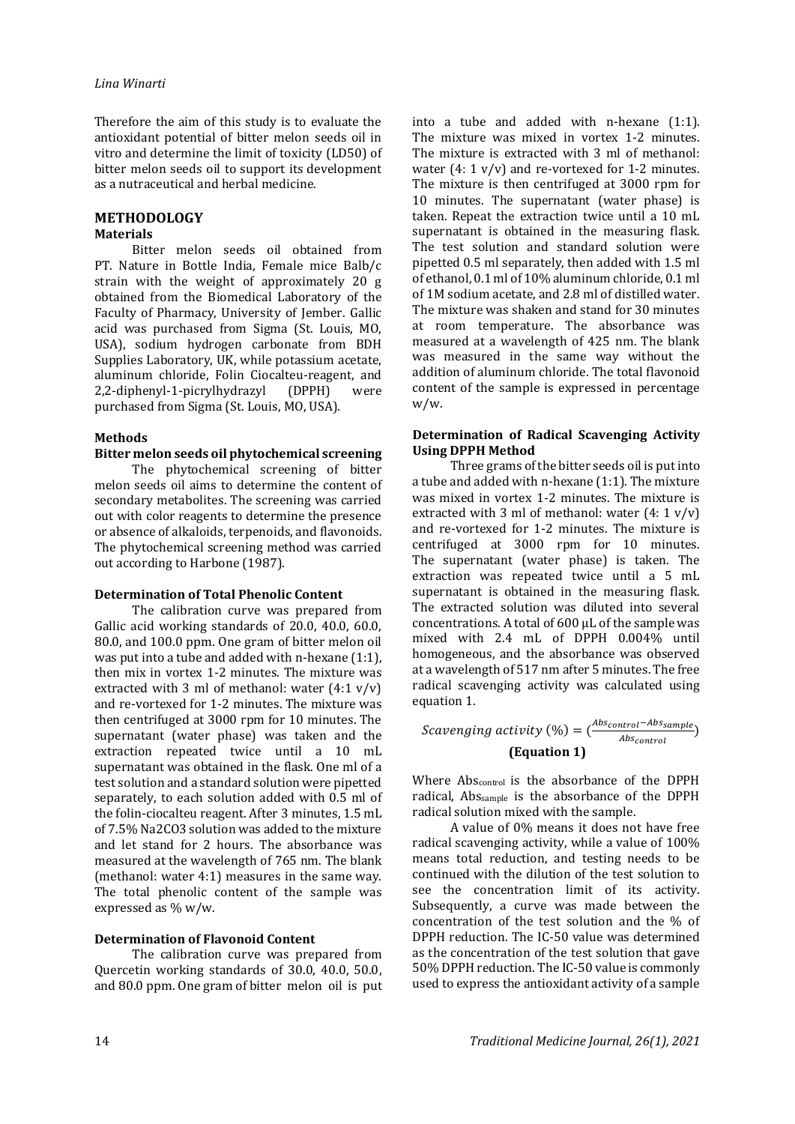Therefore the aim of this study is to evaluate the antioxidant potential of bitter melon seeds oil in vitro and determine the limit of toxicity (LD50) of bitter melon seeds oil to support its development as a nutraceutical and herbal medicine.

# **METHODOLOGY**

## **Materials**

Bitter melon seeds oil obtained from PT. Nature in Bottle India, Female mice Balb/c strain with the weight of approximately 20 g obtained from the Biomedical Laboratory of the Faculty of Pharmacy, University of Jember. Gallic acid was purchased from Sigma (St. Louis, MO, USA), sodium hydrogen carbonate from BDH Supplies Laboratory, UK, while potassium acetate, aluminum chloride, Folin Ciocalteu-reagent, and 2,2-diphenyl-1-picrylhydrazyl (DPPH) were purchased from Sigma (St. Louis, MO, USA).

#### **Methods**

#### **Bitter melon seeds oil phytochemical screening**

The phytochemical screening of bitter melon seeds oil aims to determine the content of secondary metabolites. The screening was carried out with color reagents to determine the presence or absence of alkaloids, terpenoids, and flavonoids. The phytochemical screening method was carried out according to Harbone (1987).

#### **Determination of Total Phenolic Content**

The calibration curve was prepared from Gallic acid working standards of 20.0, 40.0, 60.0, 80.0, and 100.0 ppm. One gram of bitter melon oil was put into a tube and added with n-hexane (1:1), then mix in vortex 1-2 minutes. The mixture was extracted with 3 ml of methanol: water (4:1 v/v) and re-vortexed for 1-2 minutes. The mixture was then centrifuged at 3000 rpm for 10 minutes. The supernatant (water phase) was taken and the extraction repeated twice until a 10 mL supernatant was obtained in the flask. One ml of a test solution and a standard solution were pipetted separately, to each solution added with 0.5 ml of the folin-ciocalteu reagent. After 3 minutes, 1.5 mL of 7.5% Na2CO3 solution was added to the mixture and let stand for 2 hours. The absorbance was measured at the wavelength of 765 nm. The blank (methanol: water 4:1) measures in the same way. The total phenolic content of the sample was expressed as % w/w.

#### **Determination of Flavonoid Content**

The calibration curve was prepared from Quercetin working standards of 30.0, 40.0, 50.0, and 80.0 ppm. One gram of bitter melon oil is put

into a tube and added with n-hexane (1:1). The mixture was mixed in vortex 1-2 minutes. The mixture is extracted with 3 ml of methanol: water  $(4: 1 \text{ v/v})$  and re-vortexed for 1-2 minutes. The mixture is then centrifuged at 3000 rpm for 10 minutes. The supernatant (water phase) is taken. Repeat the extraction twice until a 10 mL supernatant is obtained in the measuring flask. The test solution and standard solution were pipetted 0.5 ml separately, then added with 1.5 ml of ethanol, 0.1 ml of 10% aluminum chloride, 0.1 ml of 1M sodium acetate, and 2.8 ml of distilled water. The mixture was shaken and stand for 30 minutes at room temperature. The absorbance was measured at a wavelength of 425 nm. The blank was measured in the same way without the addition of aluminum chloride. The total flavonoid content of the sample is expressed in percentage w/w.

#### **Determination of Radical Scavenging Activity Using DPPH Method**

Three grams of the bitter seeds oil is put into a tube and added with n-hexane (1:1). The mixture was mixed in vortex 1-2 minutes. The mixture is extracted with 3 ml of methanol: water  $(4: 1 \text{ v/v})$ and re-vortexed for 1-2 minutes. The mixture is centrifuged at 3000 rpm for 10 minutes. The supernatant (water phase) is taken. The extraction was repeated twice until a 5 mL supernatant is obtained in the measuring flask. The extracted solution was diluted into several concentrations. A total of 600 μL of the sample was mixed with 2.4 mL of DPPH 0.004% until homogeneous, and the absorbance was observed at a wavelength of 517 nm after 5 minutes. The free radical scavenging activity was calculated using equation 1.

Scavending activity 
$$
(\%) = \left(\frac{Abs_{control} - Abs_{sample}}{Abs_{control}}\right)
$$
  
(Equation 1)

Where Abscontrol is the absorbance of the DPPH radical, Abssample is the absorbance of the DPPH radical solution mixed with the sample.

A value of 0% means it does not have free radical scavenging activity, while a value of 100% means total reduction, and testing needs to be continued with the dilution of the test solution to see the concentration limit of its activity. Subsequently, a curve was made between the concentration of the test solution and the % of DPPH reduction. The IC-50 value was determined as the concentration of the test solution that gave 50% DPPH reduction. The IC-50 value is commonly used to express the antioxidant activity of a sample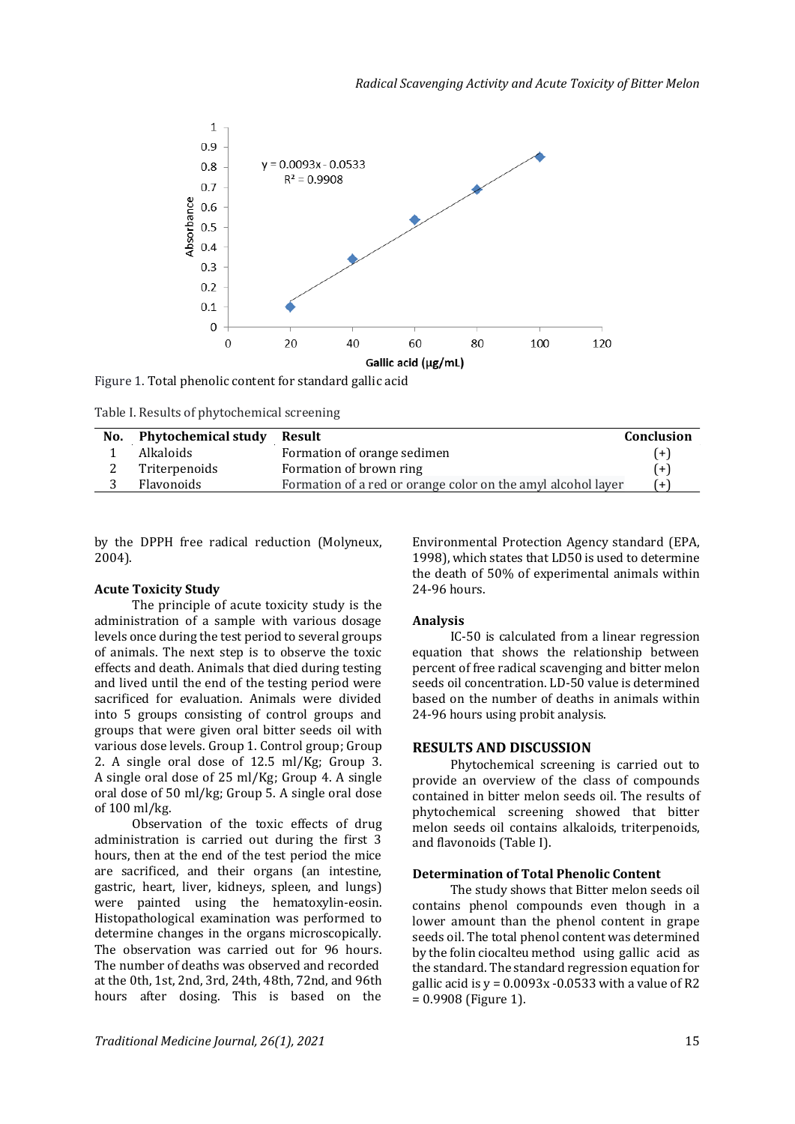

Figure 1. Total phenolic content for standard gallic acid

Table I. Results of phytochemical screening

| No. | Phytochemical study | Result                                                       | Conclusion |
|-----|---------------------|--------------------------------------------------------------|------------|
|     | Alkaloids           | Formation of orange sedimen                                  | $(+)$      |
| ▵   | Triterpenoids       | Formation of brown ring                                      | $(+)$      |
| ັ   | Flavonoids          | Formation of a red or orange color on the amyl alcohol layer | $(+)$      |

by the DPPH free radical reduction (Molyneux, 2004).

#### **Acute Toxicity Study**

The principle of acute toxicity study is the administration of a sample with various dosage levels once during the test period to several groups of animals. The next step is to observe the toxic effects and death. Animals that died during testing and lived until the end of the testing period were sacrificed for evaluation. Animals were divided into 5 groups consisting of control groups and groups that were given oral bitter seeds oil with various dose levels. Group 1. Control group; Group 2. A single oral dose of 12.5 ml/Kg; Group 3. A single oral dose of 25 ml/Kg; Group 4. A single oral dose of 50 ml/kg; Group 5. A single oral dose of 100 ml/kg.

Observation of the toxic effects of drug administration is carried out during the first 3 hours, then at the end of the test period the mice are sacrificed, and their organs (an intestine, gastric, heart, liver, kidneys, spleen, and lungs) were painted using the hematoxylin-eosin. Histopathological examination was performed to determine changes in the organs microscopically. The observation was carried out for 96 hours. The number of deaths was observed and recorded at the 0th, 1st, 2nd, 3rd, 24th, 48th, 72nd, and 96th hours after dosing. This is based on the

Environmental Protection Agency standard (EPA, 1998), which states that LD50 is used to determine the death of 50% of experimental animals within 24-96 hours.

# **Analysis**

IC-50 is calculated from a linear regression equation that shows the relationship between percent of free radical scavenging and bitter melon seeds oil concentration. LD-50 value is determined based on the number of deaths in animals within 24-96 hours using probit analysis.

#### **RESULTS AND DISCUSSION**

Phytochemical screening is carried out to provide an overview of the class of compounds contained in bitter melon seeds oil. The results of phytochemical screening showed that bitter melon seeds oil contains alkaloids, triterpenoids, and flavonoids (Table I).

## **Determination of Total Phenolic Content**

The study shows that Bitter melon seeds oil contains phenol compounds even though in a lower amount than the phenol content in grape seeds oil. The total phenol content was determined by the folin ciocalteu method using gallic acid as the standard. The standard regression equation for gallic acid is  $y = 0.0093x - 0.0533$  with a value of R2 = 0.9908 (Figure 1).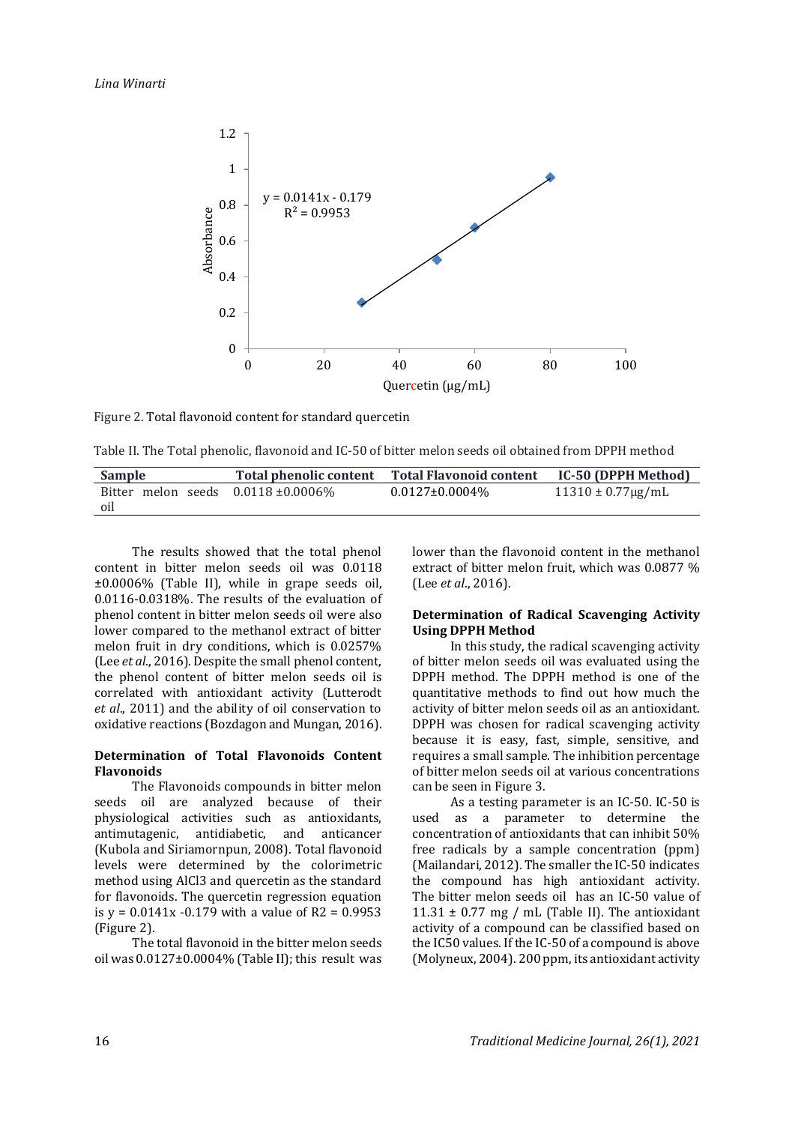

Figure 2. Total flavonoid content for standard quercetin

Table II. The Total phenolic, flavonoid and IC-50 of bitter melon seeds oil obtained from DPPH method

| Sample                                   | Total phenolic content | <b>Total Flavonoid content</b> | IC-50 (DPPH Method)       |
|------------------------------------------|------------------------|--------------------------------|---------------------------|
| Bitter melon seeds $0.0118 \pm 0.0006\%$ |                        | $0.0127 \pm 0.0004\%$          | $11310 \pm 0.77 \mu g/mL$ |
| oil                                      |                        |                                |                           |

The results showed that the total phenol content in bitter melon seeds oil was 0.0118 ±0.0006% (Table II), while in grape seeds oil, 0.0116-0.0318%. The results of the evaluation of phenol content in bitter melon seeds oil were also lower compared to the methanol extract of bitter melon fruit in dry conditions, which is 0.0257% (Lee *et al*., 2016). Despite the small phenol content, the phenol content of bitter melon seeds oil is correlated with antioxidant activity (Lutterodt *et al*., 2011) and the ability of oil conservation to oxidative reactions (Bozdagon and Mungan, 2016).

#### **Determination of Total Flavonoids Content Flavonoids**

The Flavonoids compounds in bitter melon seeds oil are analyzed because of their physiological activities such as antioxidants, antimutagenic, antidiabetic, and anticancer (Kubola and Siriamornpun, 2008). Total flavonoid levels were determined by the colorimetric method using AlCl3 and quercetin as the standard for flavonoids. The quercetin regression equation is  $y = 0.0141x - 0.179$  with a value of R2 = 0.9953 (Figure 2).

The total flavonoid in the bitter melon seeds oil was 0.0127±0.0004% (Table II); this result was lower than the flavonoid content in the methanol extract of bitter melon fruit, which was 0.0877 % (Lee *et al*., 2016).

# **Determination of Radical Scavenging Activity Using DPPH Method**

In this study, the radical scavenging activity of bitter melon seeds oil was evaluated using the DPPH method. The DPPH method is one of the quantitative methods to find out how much the activity of bitter melon seeds oil as an antioxidant. DPPH was chosen for radical scavenging activity because it is easy, fast, simple, sensitive, and requires a small sample. The inhibition percentage of bitter melon seeds oil at various concentrations can be seen in Figure 3.

As a testing parameter is an IC-50. IC-50 is used as a parameter to determine the concentration of antioxidants that can inhibit 50% free radicals by a sample concentration (ppm) (Mailandari, 2012). The smaller the IC-50 indicates the compound has high antioxidant activity. The bitter melon seeds oil has an IC-50 value of 11.31  $\pm$  0.77 mg / mL (Table II). The antioxidant activity of a compound can be classified based on the IC50 values. If the IC-50 of a compound is above (Molyneux, 2004). 200 ppm, its antioxidant activity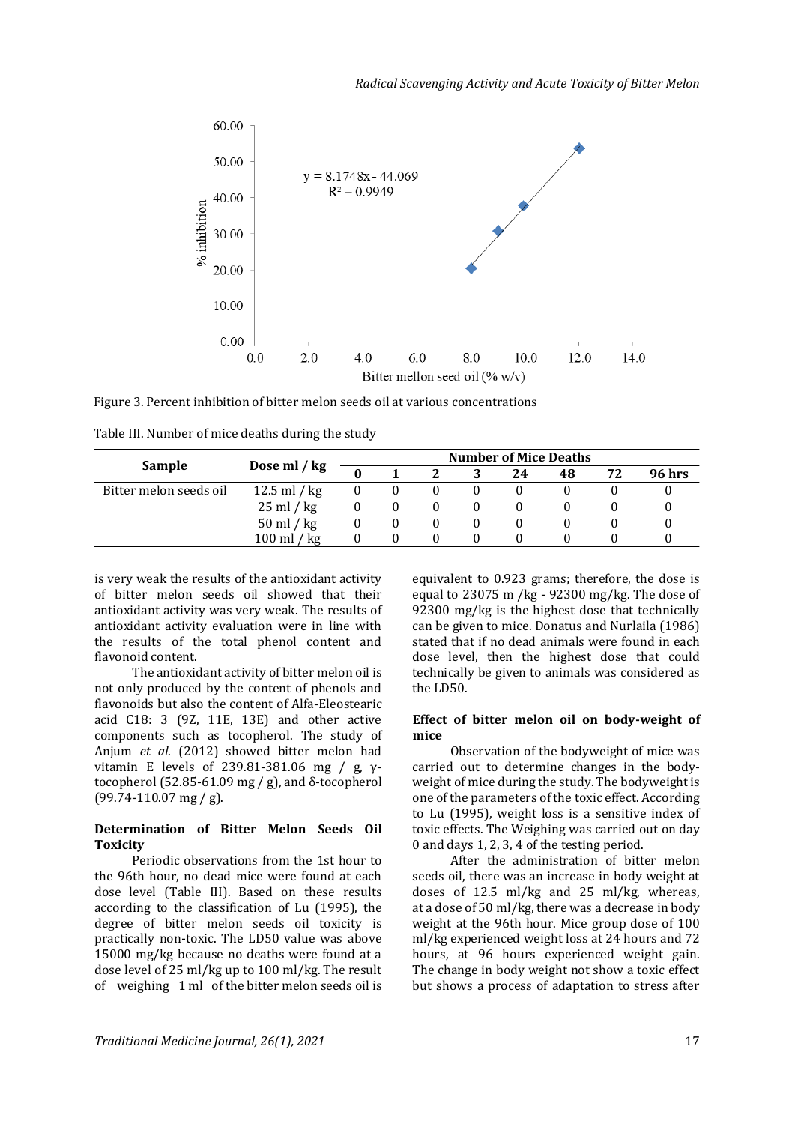

Figure 3. Percent inhibition of bitter melon seeds oil at various concentrations

|                        | Dose ml / kg                 | <b>Number of Mice Deaths</b> |  |          |  |    |    |    |               |
|------------------------|------------------------------|------------------------------|--|----------|--|----|----|----|---------------|
| Sample                 |                              |                              |  |          |  | 24 | 48 | 72 | <b>96 hrs</b> |
| Bitter melon seeds oil | 12.5 ml / $kg$               |                              |  | 0        |  |    |    |    |               |
|                        | $25 \text{ ml} / \text{ kg}$ |                              |  | 0        |  |    |    |    |               |
|                        | $50 \text{ ml} / \text{ kg}$ | 0                            |  | $\theta$ |  |    |    |    |               |
|                        | / kg<br>100 ml               | $_{0}$                       |  | 0        |  |    |    |    |               |

is very weak the results of the antioxidant activity of bitter melon seeds oil showed that their antioxidant activity was very weak. The results of antioxidant activity evaluation were in line with the results of the total phenol content and flavonoid content.

The antioxidant activity of bitter melon oil is not only produced by the content of phenols and flavonoids but also the content of Alfa-Eleostearic acid C18: 3 (9Z, 11E, 13E) and other active components such as tocopherol. The study of Anjum *et al*. (2012) showed bitter melon had vitamin E levels of 239.81-381.06 mg / g, γtocopherol (52.85-61.09 mg / g), and δ-tocopherol (99.74-110.07 mg / g).

# **Determination of Bitter Melon Seeds Oil Toxicity**

Periodic observations from the 1st hour to the 96th hour, no dead mice were found at each dose level (Table III). Based on these results according to the classification of Lu (1995), the degree of bitter melon seeds oil toxicity is practically non-toxic. The LD50 value was above 15000 mg/kg because no deaths were found at a dose level of 25 ml/kg up to 100 ml/kg. The result of weighing 1 ml of the bitter melon seeds oil is

equivalent to 0.923 grams; therefore, the dose is equal to 23075 m /kg - 92300 mg/kg. The dose of 92300 mg/kg is the highest dose that technically can be given to mice. Donatus and Nurlaila (1986) stated that if no dead animals were found in each dose level, then the highest dose that could technically be given to animals was considered as the LD50.

#### **Effect of bitter melon oil on body-weight of mice**

Observation of the bodyweight of mice was carried out to determine changes in the bodyweight of mice during the study. The bodyweight is one of the parameters of the toxic effect. According to Lu (1995), weight loss is a sensitive index of toxic effects. The Weighing was carried out on day 0 and days 1, 2, 3, 4 of the testing period.

After the administration of bitter melon seeds oil, there was an increase in body weight at doses of 12.5 ml/kg and 25 ml/kg, whereas, at a dose of 50 ml/kg, there was a decrease in body weight at the 96th hour. Mice group dose of 100 ml/kg experienced weight loss at 24 hours and 72 hours, at 96 hours experienced weight gain. The change in body weight not show a toxic effect but shows a process of adaptation to stress after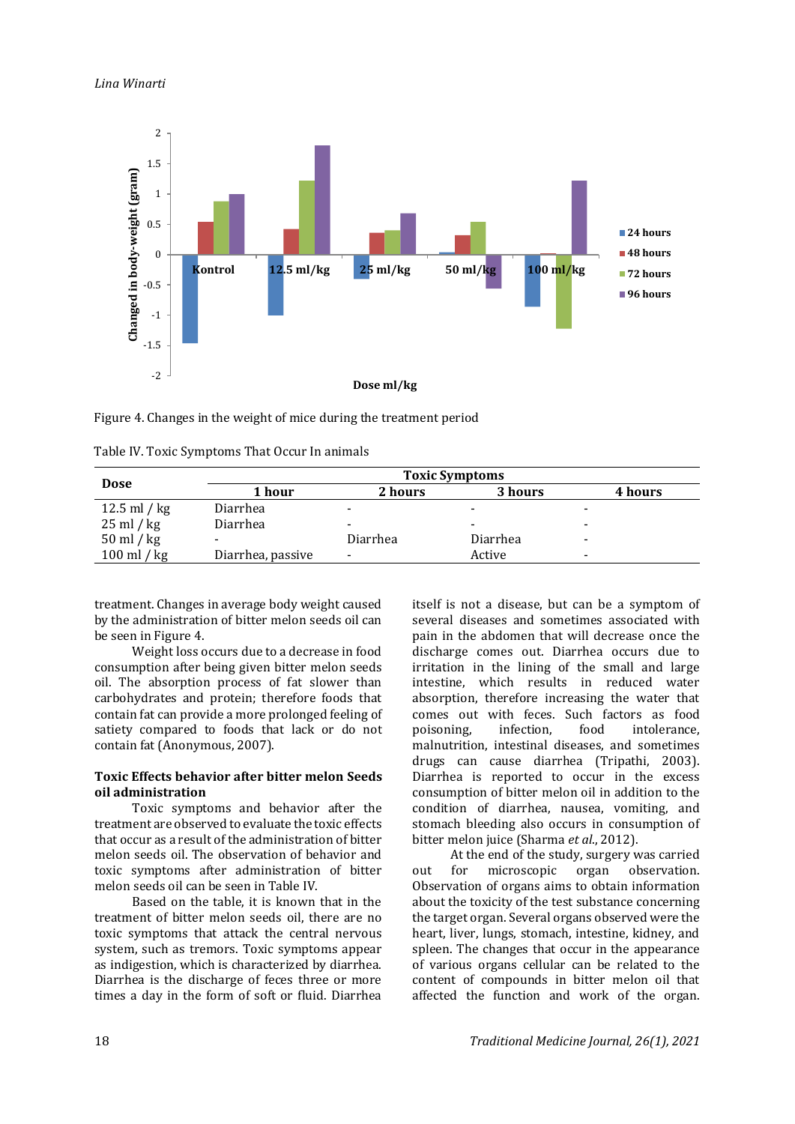

Figure 4. Changes in the weight of mice during the treatment period

| <b>Dose</b>                  | <b>Toxic Symptoms</b> |                          |                          |                          |  |  |  |
|------------------------------|-----------------------|--------------------------|--------------------------|--------------------------|--|--|--|
|                              | 1 hour                | 2 hours                  | 3 hours                  | 4 hours                  |  |  |  |
| $12.5$ ml / kg               | Diarrhea              | -                        | $\overline{\phantom{a}}$ | $\overline{\phantom{a}}$ |  |  |  |
| $25 \text{ ml} / \text{ kg}$ | Diarrhea              |                          | $\overline{\phantom{a}}$ | $\overline{\phantom{a}}$ |  |  |  |
| $50$ ml / kg                 |                       | Diarrhea                 | Diarrhea                 | $\overline{\phantom{a}}$ |  |  |  |
| $100$ ml / kg                | Diarrhea, passive     | $\overline{\phantom{a}}$ | Active                   | $\overline{\phantom{a}}$ |  |  |  |

Table IV. Toxic Symptoms That Occur In animals

treatment. Changes in average body weight caused by the administration of bitter melon seeds oil can be seen in Figure 4.

Weight loss occurs due to a decrease in food consumption after being given bitter melon seeds oil. The absorption process of fat slower than carbohydrates and protein; therefore foods that contain fat can provide a more prolonged feeling of satiety compared to foods that lack or do not contain fat (Anonymous, 2007).

# **Toxic Effects behavior after bitter melon Seeds oil administration**

Toxic symptoms and behavior after the treatment are observed to evaluate the toxic effects that occur as a result of the administration of bitter melon seeds oil. The observation of behavior and toxic symptoms after administration of bitter melon seeds oil can be seen in Table IV.

Based on the table, it is known that in the treatment of bitter melon seeds oil, there are no toxic symptoms that attack the central nervous system, such as tremors. Toxic symptoms appear as indigestion, which is characterized by diarrhea. Diarrhea is the discharge of feces three or more times a day in the form of soft or fluid. Diarrhea itself is not a disease, but can be a symptom of several diseases and sometimes associated with pain in the abdomen that will decrease once the discharge comes out. Diarrhea occurs due to irritation in the lining of the small and large intestine, which results in reduced water absorption, therefore increasing the water that comes out with feces. Such factors as food poisoning, infection, food intolerance, malnutrition, intestinal diseases, and sometimes drugs can cause diarrhea (Tripathi, 2003). Diarrhea is reported to occur in the excess consumption of bitter melon oil in addition to the condition of diarrhea, nausea, vomiting, and stomach bleeding also occurs in consumption of bitter melon juice (Sharma *et al*., 2012).

At the end of the study, surgery was carried out for microscopic organ observation. Observation of organs aims to obtain information about the toxicity of the test substance concerning the target organ. Several organs observed were the heart, liver, lungs, stomach, intestine, kidney, and spleen. The changes that occur in the appearance of various organs cellular can be related to the content of compounds in bitter melon oil that affected the function and work of the organ.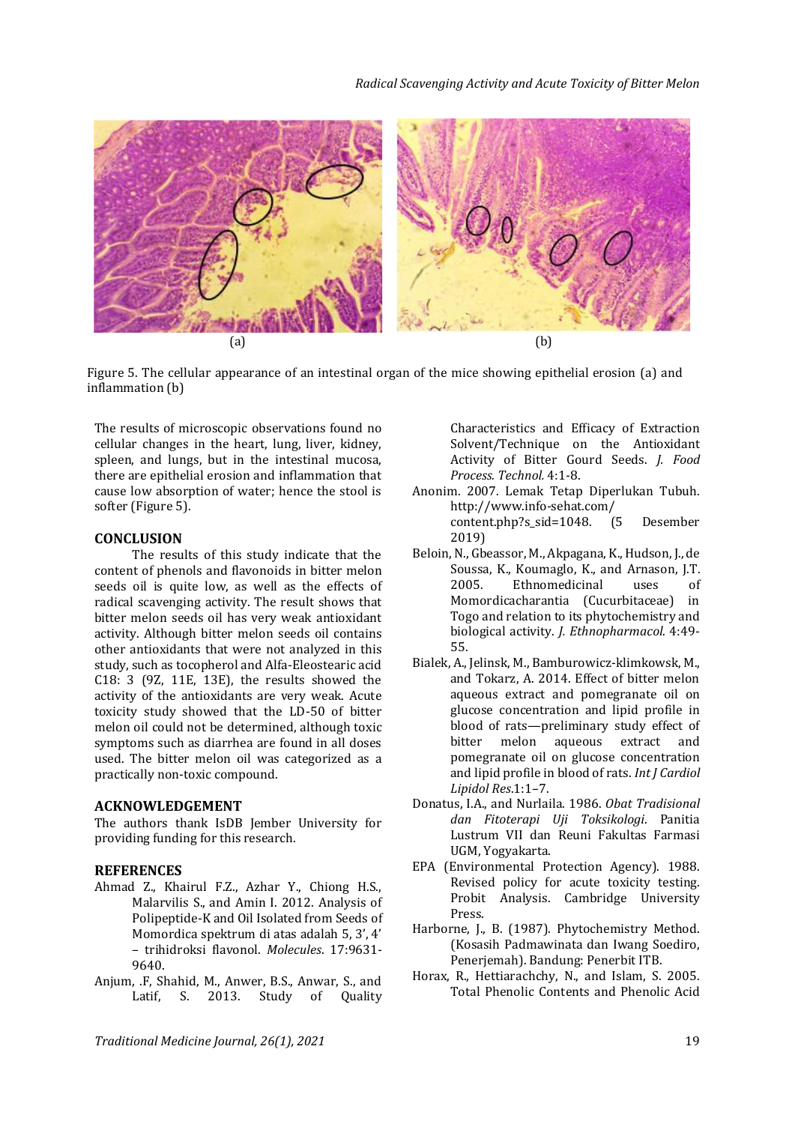

Figure 5. The cellular appearance of an intestinal organ of the mice showing epithelial erosion (a) and inflammation (b)

The results of microscopic observations found no cellular changes in the heart, lung, liver, kidney, spleen, and lungs, but in the intestinal mucosa, there are epithelial erosion and inflammation that cause low absorption of water; hence the stool is softer (Figure 5).

#### **CONCLUSION**

The results of this study indicate that the content of phenols and flavonoids in bitter melon seeds oil is quite low, as well as the effects of radical scavenging activity. The result shows that bitter melon seeds oil has very weak antioxidant activity. Although bitter melon seeds oil contains other antioxidants that were not analyzed in this study, such as tocopherol and Alfa-Eleostearic acid C18: 3 (9Z, 11E, 13E), the results showed the activity of the antioxidants are very weak. Acute toxicity study showed that the LD-50 of bitter melon oil could not be determined, although toxic symptoms such as diarrhea are found in all doses used. The bitter melon oil was categorized as a practically non-toxic compound.

#### **ACKNOWLEDGEMENT**

The authors thank IsDB Jember University for providing funding for this research.

#### **REFERENCES**

- Ahmad Z., Khairul F.Z., Azhar Y., Chiong H.S., Malarvilis S., and Amin I. 2012. Analysis of Polipeptide-K and Oil Isolated from Seeds of Momordica spektrum di atas adalah 5, 3', 4' – trihidroksi flavonol. *Molecules*. 17:9631- 9640.
- Anjum, .F, Shahid, M., Anwer, B.S., Anwar, S., and Latif, S. 2013. Study of Quality

Characteristics and Efficacy of Extraction Solvent/Technique on the Antioxidant Activity of Bitter Gourd Seeds. *J. Food Process. Technol.* 4:1-8.

Anonim. 2007. Lemak Tetap Diperlukan Tubuh. http://www.info-sehat.com/

content.php?s\_sid=1048. (5 Desember 2019)

- [Beloin, N.](https://www.ncbi.nlm.nih.gov/pubmed/?term=Beloin%20N%5BAuthor%5D&cauthor=true&cauthor_uid=15588650)[, Gbeassor, M.](https://www.ncbi.nlm.nih.gov/pubmed/?term=Gbeassor%20M%5BAuthor%5D&cauthor=true&cauthor_uid=15588650)[, Akpagana, K.](https://www.ncbi.nlm.nih.gov/pubmed/?term=Akpagana%20K%5BAuthor%5D&cauthor=true&cauthor_uid=15588650)[, Hudson, J.](https://www.ncbi.nlm.nih.gov/pubmed/?term=Hudson%20J%5BAuthor%5D&cauthor=true&cauthor_uid=15588650)[, de](https://www.ncbi.nlm.nih.gov/pubmed/?term=de%20Soussa%20K%5BAuthor%5D&cauthor=true&cauthor_uid=15588650)  [Soussa, K.](https://www.ncbi.nlm.nih.gov/pubmed/?term=de%20Soussa%20K%5BAuthor%5D&cauthor=true&cauthor_uid=15588650), [Koumaglo, K.](https://www.ncbi.nlm.nih.gov/pubmed/?term=Koumaglo%20K%5BAuthor%5D&cauthor=true&cauthor_uid=15588650), and [Arnason, J.T.](https://www.ncbi.nlm.nih.gov/pubmed/?term=Arnason%20JT%5BAuthor%5D&cauthor=true&cauthor_uid=15588650)  2005. Ethnomedicinal uses of Momordicacharantia (Cucurbitaceae) in Togo and relation to its phytochemistry and biological activity. *[J. Ethnopharmacol.](https://www.ncbi.nlm.nih.gov/pubmed/15588650)* 4:49- 55.
- Bialek, A., Jelinsk, M., Bamburowicz-klimkowsk, M., and Tokarz, A. 2014. Effect of bitter melon aqueous extract and pomegranate oil on glucose concentration and lipid profile in blood of rats—preliminary study effect of bitter melon aqueous extract and pomegranate oil on glucose concentration and lipid profile in blood of rats. *Int J Cardiol Lipidol Res*.1:1–7.
- Donatus, I.A., and Nurlaila. 1986. *Obat Tradisional dan Fitoterapi Uji Toksikologi*. Panitia Lustrum VII dan Reuni Fakultas Farmasi UGM, Yogyakarta.
- EPA (Environmental Protection Agency). 1988. Revised policy for acute toxicity testing. Probit Analysis. Cambridge University Press.
- Harborne, J., B. (1987). Phytochemistry Method. (Kosasih Padmawinata dan Iwang Soediro, Penerjemah). Bandung: Penerbit ITB.
- Horax, R., Hettiarachchy, N., and Islam, S. 2005. Total Phenolic Contents and Phenolic Acid